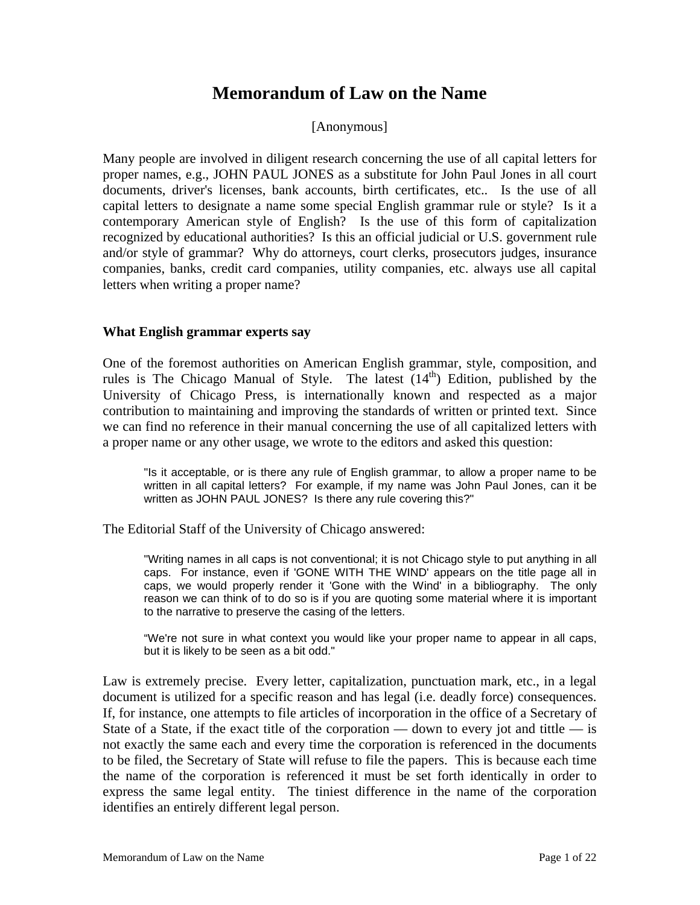# **Memorandum of Law on the Name**

### [Anonymous]

Many people are involved in diligent research concerning the use of all capital letters for proper names, e.g., JOHN PAUL JONES as a substitute for John Paul Jones in all court documents, driver's licenses, bank accounts, birth certificates, etc.. Is the use of all capital letters to designate a name some special English grammar rule or style? Is it a contemporary American style of English? Is the use of this form of capitalization recognized by educational authorities? Is this an official judicial or U.S. government rule and/or style of grammar? Why do attorneys, court clerks, prosecutors judges, insurance companies, banks, credit card companies, utility companies, etc. always use all capital letters when writing a proper name?

#### **What English grammar experts say**

One of the foremost authorities on American English grammar, style, composition, and rules is The Chicago Manual of Style. The latest  $(14<sup>th</sup>)$  Edition, published by the University of Chicago Press, is internationally known and respected as a major contribution to maintaining and improving the standards of written or printed text. Since we can find no reference in their manual concerning the use of all capitalized letters with a proper name or any other usage, we wrote to the editors and asked this question:

"Is it acceptable, or is there any rule of English grammar, to allow a proper name to be written in all capital letters? For example, if my name was John Paul Jones, can it be written as JOHN PAUL JONES? Is there any rule covering this?"

The Editorial Staff of the University of Chicago answered:

"Writing names in all caps is not conventional; it is not Chicago style to put anything in all caps. For instance, even if 'GONE WITH THE WIND' appears on the title page all in caps, we would properly render it 'Gone with the Wind' in a bibliography. The only reason we can think of to do so is if you are quoting some material where it is important to the narrative to preserve the casing of the letters.

"We're not sure in what context you would like your proper name to appear in all caps, but it is likely to be seen as a bit odd."

Law is extremely precise. Every letter, capitalization, punctuation mark, etc., in a legal document is utilized for a specific reason and has legal (i.e. deadly force) consequences. If, for instance, one attempts to file articles of incorporation in the office of a Secretary of State of a State, if the exact title of the corporation — down to every jot and tittle — is not exactly the same each and every time the corporation is referenced in the documents to be filed, the Secretary of State will refuse to file the papers. This is because each time the name of the corporation is referenced it must be set forth identically in order to express the same legal entity. The tiniest difference in the name of the corporation identifies an entirely different legal person.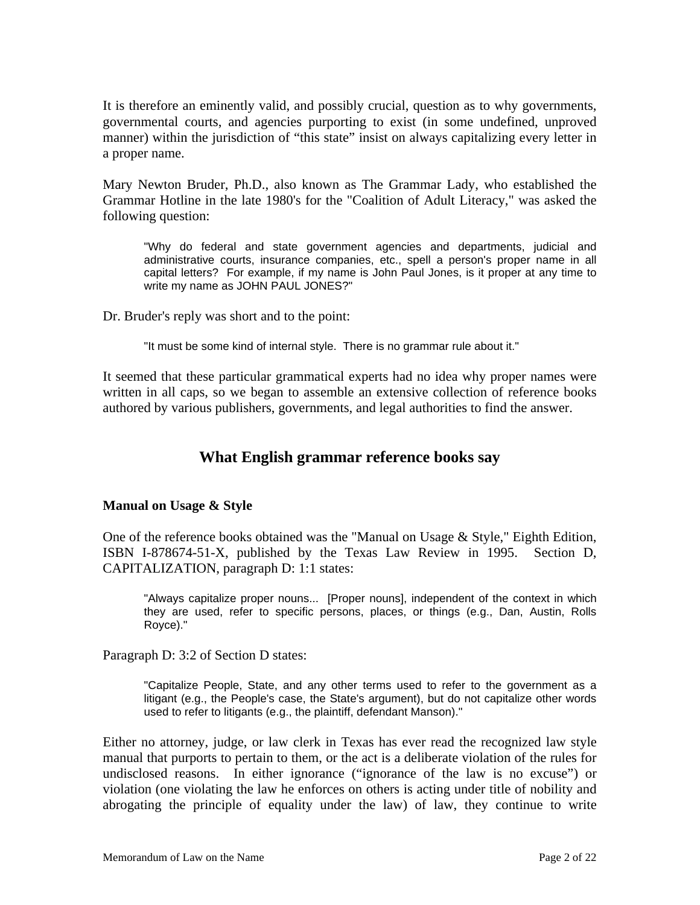It is therefore an eminently valid, and possibly crucial, question as to why governments, governmental courts, and agencies purporting to exist (in some undefined, unproved manner) within the jurisdiction of "this state" insist on always capitalizing every letter in a proper name.

Mary Newton Bruder, Ph.D., also known as The Grammar Lady, who established the Grammar Hotline in the late 1980's for the "Coalition of Adult Literacy," was asked the following question:

"Why do federal and state government agencies and departments, judicial and administrative courts, insurance companies, etc., spell a person's proper name in all capital letters? For example, if my name is John Paul Jones, is it proper at any time to write my name as JOHN PAUL JONES?"

Dr. Bruder's reply was short and to the point:

"It must be some kind of internal style. There is no grammar rule about it."

It seemed that these particular grammatical experts had no idea why proper names were written in all caps, so we began to assemble an extensive collection of reference books authored by various publishers, governments, and legal authorities to find the answer.

### **What English grammar reference books say**

### **Manual on Usage & Style**

One of the reference books obtained was the "Manual on Usage & Style," Eighth Edition, ISBN I-878674-51-X, published by the Texas Law Review in 1995. Section D, CAPITALIZATION, paragraph D: 1:1 states:

"Always capitalize proper nouns... [Proper nouns], independent of the context in which they are used, refer to specific persons, places, or things (e.g., Dan, Austin, Rolls Royce)."

Paragraph D: 3:2 of Section D states:

"Capitalize People, State, and any other terms used to refer to the government as a litigant (e.g., the People's case, the State's argument), but do not capitalize other words used to refer to litigants (e.g., the plaintiff, defendant Manson)."

Either no attorney, judge, or law clerk in Texas has ever read the recognized law style manual that purports to pertain to them, or the act is a deliberate violation of the rules for undisclosed reasons. In either ignorance ("ignorance of the law is no excuse") or violation (one violating the law he enforces on others is acting under title of nobility and abrogating the principle of equality under the law) of law, they continue to write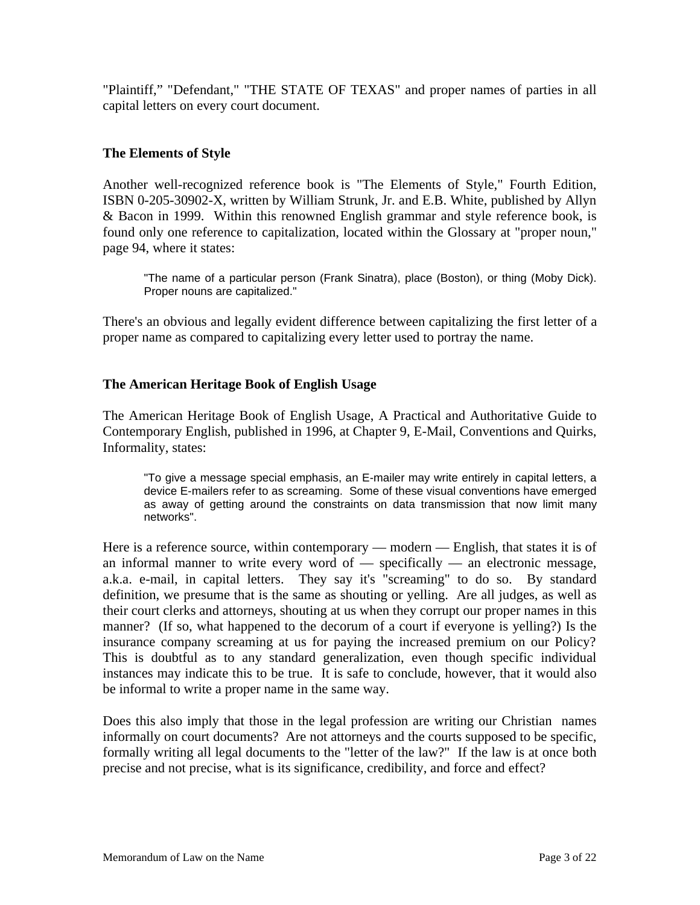"Plaintiff," "Defendant," "THE STATE OF TEXAS" and proper names of parties in all capital letters on every court document.

### **The Elements of Style**

Another well-recognized reference book is "The Elements of Style," Fourth Edition, ISBN 0-205-30902-X, written by William Strunk, Jr. and E.B. White, published by Allyn & Bacon in 1999. Within this renowned English grammar and style reference book, is found only one reference to capitalization, located within the Glossary at "proper noun," page 94, where it states:

"The name of a particular person (Frank Sinatra), place (Boston), or thing (Moby Dick). Proper nouns are capitalized."

There's an obvious and legally evident difference between capitalizing the first letter of a proper name as compared to capitalizing every letter used to portray the name.

### **The American Heritage Book of English Usage**

The American Heritage Book of English Usage, A Practical and Authoritative Guide to Contemporary English, published in 1996, at Chapter 9, E-Mail, Conventions and Quirks, Informality, states:

"To give a message special emphasis, an E-mailer may write entirely in capital letters, a device E-mailers refer to as screaming. Some of these visual conventions have emerged as away of getting around the constraints on data transmission that now limit many networks".

Here is a reference source, within contemporary — modern — English, that states it is of an informal manner to write every word of — specifically — an electronic message, a.k.a. e-mail, in capital letters. They say it's "screaming" to do so. By standard definition, we presume that is the same as shouting or yelling. Are all judges, as well as their court clerks and attorneys, shouting at us when they corrupt our proper names in this manner? (If so, what happened to the decorum of a court if everyone is yelling?) Is the insurance company screaming at us for paying the increased premium on our Policy? This is doubtful as to any standard generalization, even though specific individual instances may indicate this to be true. It is safe to conclude, however, that it would also be informal to write a proper name in the same way.

Does this also imply that those in the legal profession are writing our Christian names informally on court documents? Are not attorneys and the courts supposed to be specific, formally writing all legal documents to the "letter of the law?" If the law is at once both precise and not precise, what is its significance, credibility, and force and effect?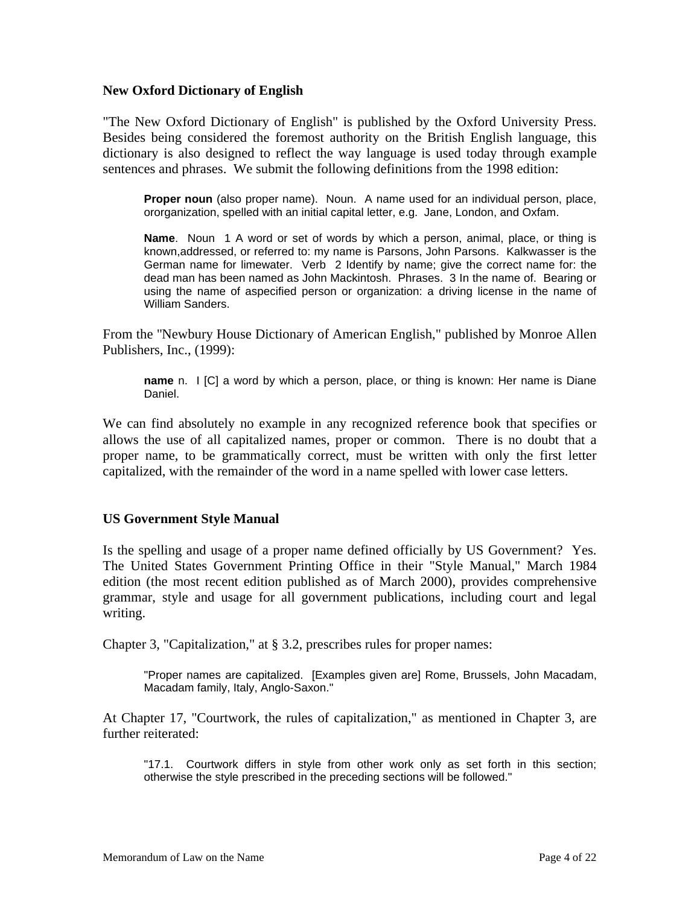#### **New Oxford Dictionary of English**

"The New Oxford Dictionary of English" is published by the Oxford University Press. Besides being considered the foremost authority on the British English language, this dictionary is also designed to reflect the way language is used today through example sentences and phrases. We submit the following definitions from the 1998 edition:

**Proper noun** (also proper name). Noun. A name used for an individual person, place, ororganization, spelled with an initial capital letter, e.g. Jane, London, and Oxfam.

**Name**. Noun 1 A word or set of words by which a person, animal, place, or thing is known,addressed, or referred to: my name is Parsons, John Parsons. Kalkwasser is the German name for limewater. Verb 2 Identify by name; give the correct name for: the dead man has been named as John Mackintosh. Phrases. 3 In the name of. Bearing or using the name of aspecified person or organization: a driving license in the name of William Sanders.

From the "Newbury House Dictionary of American English," published by Monroe Allen Publishers, Inc., (1999):

**name** n. I [C] a word by which a person, place, or thing is known: Her name is Diane Daniel.

We can find absolutely no example in any recognized reference book that specifies or allows the use of all capitalized names, proper or common. There is no doubt that a proper name, to be grammatically correct, must be written with only the first letter capitalized, with the remainder of the word in a name spelled with lower case letters.

### **US Government Style Manual**

Is the spelling and usage of a proper name defined officially by US Government? Yes. The United States Government Printing Office in their "Style Manual," March 1984 edition (the most recent edition published as of March 2000), provides comprehensive grammar, style and usage for all government publications, including court and legal writing.

Chapter 3, "Capitalization," at § 3.2, prescribes rules for proper names:

"Proper names are capitalized. [Examples given are] Rome, Brussels, John Macadam, Macadam family, Italy, Anglo-Saxon."

At Chapter 17, "Courtwork, the rules of capitalization," as mentioned in Chapter 3, are further reiterated:

"17.1. Courtwork differs in style from other work only as set forth in this section; otherwise the style prescribed in the preceding sections will be followed."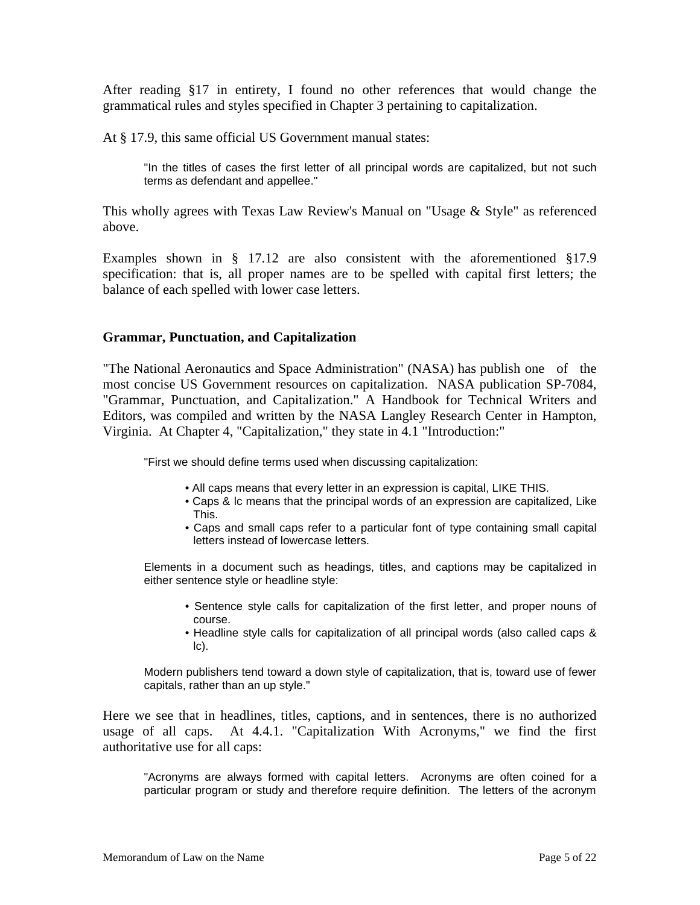After reading §17 in entirety, I found no other references that would change the grammatical rules and styles specified in Chapter 3 pertaining to capitalization.

At § 17.9, this same official US Government manual states:

"In the titles of cases the first letter of all principal words are capitalized, but not such terms as defendant and appellee."

This wholly agrees with Texas Law Review's Manual on "Usage & Style" as referenced above.

Examples shown in § 17.12 are also consistent with the aforementioned §17.9 specification: that is, all proper names are to be spelled with capital first letters; the balance of each spelled with lower case letters.

#### **Grammar, Punctuation, and Capitalization**

"The National Aeronautics and Space Administration" (NASA) has publish one of the most concise US Government resources on capitalization. NASA publication SP-7084, "Grammar, Punctuation, and Capitalization." A Handbook for Technical Writers and Editors, was compiled and written by the NASA Langley Research Center in Hampton, Virginia. At Chapter 4, "Capitalization," they state in 4.1 "Introduction:"

"First we should define terms used when discussing capitalization:

- All caps means that every letter in an expression is capital, LIKE THIS.
- Caps & lc means that the principal words of an expression are capitalized, Like This.
- Caps and small caps refer to a particular font of type containing small capital letters instead of lowercase letters.

Elements in a document such as headings, titles, and captions may be capitalized in either sentence style or headline style:

- Sentence style calls for capitalization of the first letter, and proper nouns of course.
- Headline style calls for capitalization of all principal words (also called caps & lc).

Modern publishers tend toward a down style of capitalization, that is, toward use of fewer capitals, rather than an up style."

Here we see that in headlines, titles, captions, and in sentences, there is no authorized usage of all caps. At 4.4.1. "Capitalization With Acronyms," we find the first authoritative use for all caps:

"Acronyms are always formed with capital letters. Acronyms are often coined for a particular program or study and therefore require definition. The letters of the acronym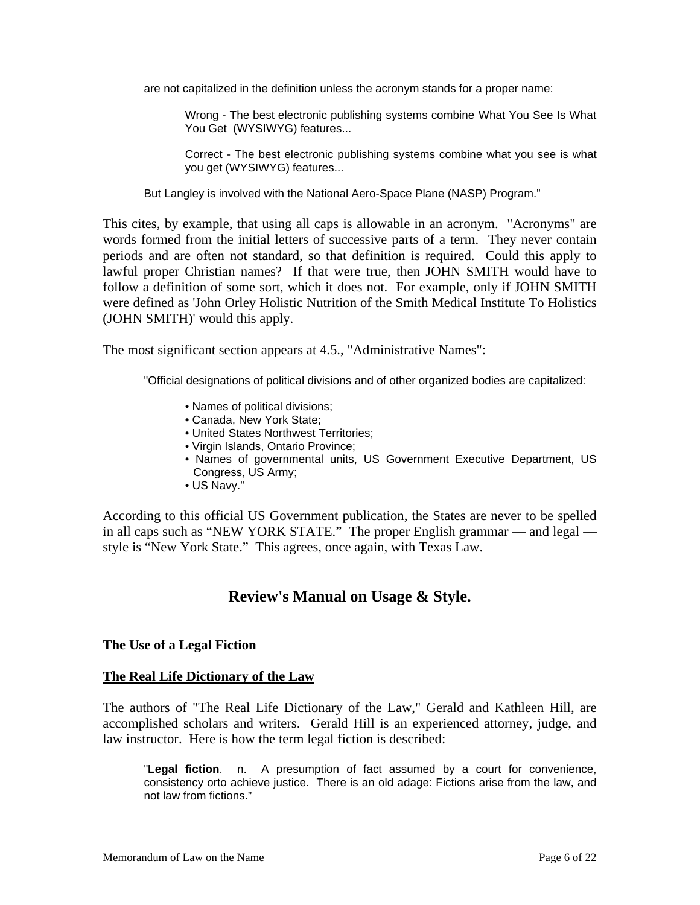are not capitalized in the definition unless the acronym stands for a proper name:

Wrong - The best electronic publishing systems combine What You See Is What You Get (WYSIWYG) features...

Correct - The best electronic publishing systems combine what you see is what you get (WYSIWYG) features...

But Langley is involved with the National Aero-Space Plane (NASP) Program."

This cites, by example, that using all caps is allowable in an acronym. "Acronyms" are words formed from the initial letters of successive parts of a term. They never contain periods and are often not standard, so that definition is required. Could this apply to lawful proper Christian names? If that were true, then JOHN SMITH would have to follow a definition of some sort, which it does not. For example, only if JOHN SMITH were defined as 'John Orley Holistic Nutrition of the Smith Medical Institute To Holistics (JOHN SMITH)' would this apply.

The most significant section appears at 4.5., "Administrative Names":

"Official designations of political divisions and of other organized bodies are capitalized:

- Names of political divisions;
- Canada, New York State;
- United States Northwest Territories;
- Virgin Islands, Ontario Province;
- Names of governmental units, US Government Executive Department, US Congress, US Army;
- US Navy."

According to this official US Government publication, the States are never to be spelled in all caps such as "NEW YORK STATE." The proper English grammar — and legal style is "New York State." This agrees, once again, with Texas Law.

### **Review's Manual on Usage & Style.**

#### **The Use of a Legal Fiction**

#### **The Real Life Dictionary of the Law**

The authors of "The Real Life Dictionary of the Law," Gerald and Kathleen Hill, are accomplished scholars and writers. Gerald Hill is an experienced attorney, judge, and law instructor. Here is how the term legal fiction is described:

"**Legal fiction**. n. A presumption of fact assumed by a court for convenience, consistency orto achieve justice. There is an old adage: Fictions arise from the law, and not law from fictions."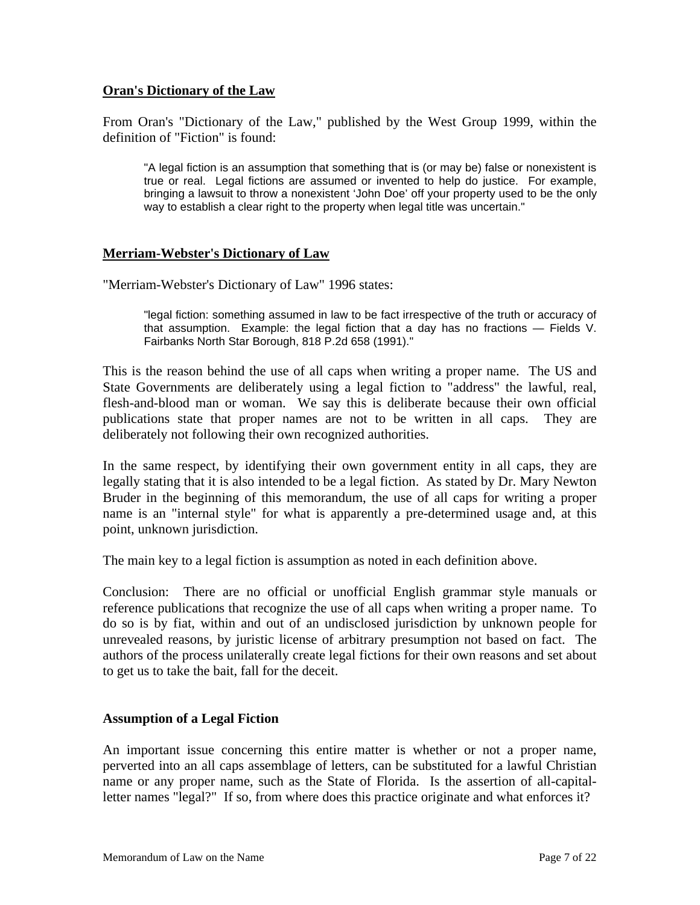### **Oran's Dictionary of the Law**

From Oran's "Dictionary of the Law," published by the West Group 1999, within the definition of "Fiction" is found:

"A legal fiction is an assumption that something that is (or may be) false or nonexistent is true or real. Legal fictions are assumed or invented to help do justice. For example, bringing a lawsuit to throw a nonexistent 'John Doe' off your property used to be the only way to establish a clear right to the property when legal title was uncertain."

### **Merriam-Webster's Dictionary of Law**

"Merriam-Webster's Dictionary of Law" 1996 states:

"legal fiction: something assumed in law to be fact irrespective of the truth or accuracy of that assumption. Example: the legal fiction that a day has no fractions — Fields V. Fairbanks North Star Borough, 818 P.2d 658 (1991)."

This is the reason behind the use of all caps when writing a proper name. The US and State Governments are deliberately using a legal fiction to "address" the lawful, real, flesh-and-blood man or woman. We say this is deliberate because their own official publications state that proper names are not to be written in all caps. They are deliberately not following their own recognized authorities.

In the same respect, by identifying their own government entity in all caps, they are legally stating that it is also intended to be a legal fiction. As stated by Dr. Mary Newton Bruder in the beginning of this memorandum, the use of all caps for writing a proper name is an "internal style" for what is apparently a pre-determined usage and, at this point, unknown jurisdiction.

The main key to a legal fiction is assumption as noted in each definition above.

Conclusion: There are no official or unofficial English grammar style manuals or reference publications that recognize the use of all caps when writing a proper name. To do so is by fiat, within and out of an undisclosed jurisdiction by unknown people for unrevealed reasons, by juristic license of arbitrary presumption not based on fact. The authors of the process unilaterally create legal fictions for their own reasons and set about to get us to take the bait, fall for the deceit.

### **Assumption of a Legal Fiction**

An important issue concerning this entire matter is whether or not a proper name, perverted into an all caps assemblage of letters, can be substituted for a lawful Christian name or any proper name, such as the State of Florida. Is the assertion of all-capitalletter names "legal?" If so, from where does this practice originate and what enforces it?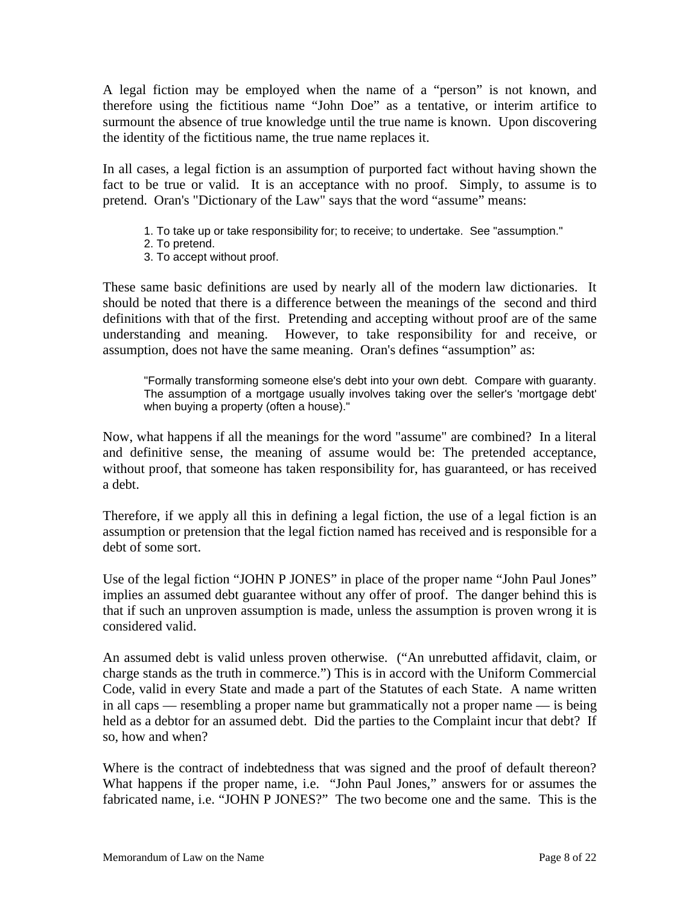A legal fiction may be employed when the name of a "person" is not known, and therefore using the fictitious name "John Doe" as a tentative, or interim artifice to surmount the absence of true knowledge until the true name is known. Upon discovering the identity of the fictitious name, the true name replaces it.

In all cases, a legal fiction is an assumption of purported fact without having shown the fact to be true or valid. It is an acceptance with no proof. Simply, to assume is to pretend. Oran's "Dictionary of the Law" says that the word "assume" means:

- 1. To take up or take responsibility for; to receive; to undertake. See "assumption."
- 2. To pretend.
- 3. To accept without proof.

These same basic definitions are used by nearly all of the modern law dictionaries. It should be noted that there is a difference between the meanings of the second and third definitions with that of the first. Pretending and accepting without proof are of the same understanding and meaning. However, to take responsibility for and receive, or assumption, does not have the same meaning. Oran's defines "assumption" as:

"Formally transforming someone else's debt into your own debt. Compare with guaranty. The assumption of a mortgage usually involves taking over the seller's 'mortgage debt' when buying a property (often a house)."

Now, what happens if all the meanings for the word "assume" are combined? In a literal and definitive sense, the meaning of assume would be: The pretended acceptance, without proof, that someone has taken responsibility for, has guaranteed, or has received a debt.

Therefore, if we apply all this in defining a legal fiction, the use of a legal fiction is an assumption or pretension that the legal fiction named has received and is responsible for a debt of some sort.

Use of the legal fiction "JOHN P JONES" in place of the proper name "John Paul Jones" implies an assumed debt guarantee without any offer of proof. The danger behind this is that if such an unproven assumption is made, unless the assumption is proven wrong it is considered valid.

An assumed debt is valid unless proven otherwise. ("An unrebutted affidavit, claim, or charge stands as the truth in commerce.") This is in accord with the Uniform Commercial Code, valid in every State and made a part of the Statutes of each State. A name written in all caps — resembling a proper name but grammatically not a proper name — is being held as a debtor for an assumed debt. Did the parties to the Complaint incur that debt? If so, how and when?

Where is the contract of indebtedness that was signed and the proof of default thereon? What happens if the proper name, i.e. "John Paul Jones," answers for or assumes the fabricated name, i.e. "JOHN P JONES?" The two become one and the same. This is the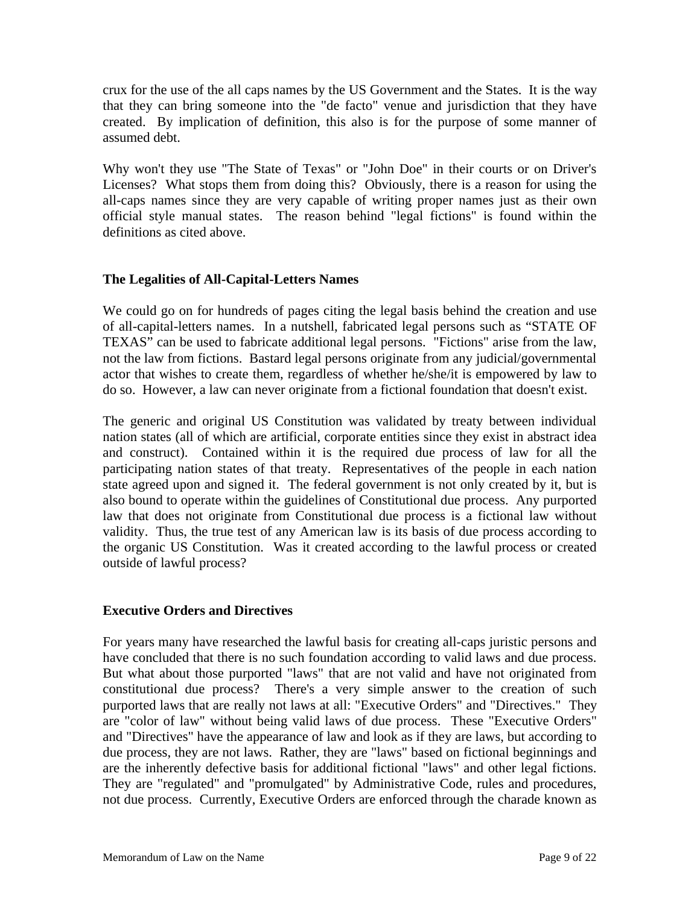crux for the use of the all caps names by the US Government and the States. It is the way that they can bring someone into the "de facto" venue and jurisdiction that they have created. By implication of definition, this also is for the purpose of some manner of assumed debt.

Why won't they use "The State of Texas" or "John Doe" in their courts or on Driver's Licenses? What stops them from doing this? Obviously, there is a reason for using the all-caps names since they are very capable of writing proper names just as their own official style manual states. The reason behind "legal fictions" is found within the definitions as cited above.

### **The Legalities of All-Capital-Letters Names**

We could go on for hundreds of pages citing the legal basis behind the creation and use of all-capital-letters names. In a nutshell, fabricated legal persons such as "STATE OF TEXAS" can be used to fabricate additional legal persons. "Fictions" arise from the law, not the law from fictions. Bastard legal persons originate from any judicial/governmental actor that wishes to create them, regardless of whether he/she/it is empowered by law to do so. However, a law can never originate from a fictional foundation that doesn't exist.

The generic and original US Constitution was validated by treaty between individual nation states (all of which are artificial, corporate entities since they exist in abstract idea and construct). Contained within it is the required due process of law for all the participating nation states of that treaty. Representatives of the people in each nation state agreed upon and signed it. The federal government is not only created by it, but is also bound to operate within the guidelines of Constitutional due process. Any purported law that does not originate from Constitutional due process is a fictional law without validity. Thus, the true test of any American law is its basis of due process according to the organic US Constitution. Was it created according to the lawful process or created outside of lawful process?

### **Executive Orders and Directives**

For years many have researched the lawful basis for creating all-caps juristic persons and have concluded that there is no such foundation according to valid laws and due process. But what about those purported "laws" that are not valid and have not originated from constitutional due process? There's a very simple answer to the creation of such purported laws that are really not laws at all: "Executive Orders" and "Directives." They are "color of law" without being valid laws of due process. These "Executive Orders" and "Directives" have the appearance of law and look as if they are laws, but according to due process, they are not laws. Rather, they are "laws" based on fictional beginnings and are the inherently defective basis for additional fictional "laws" and other legal fictions. They are "regulated" and "promulgated" by Administrative Code, rules and procedures, not due process. Currently, Executive Orders are enforced through the charade known as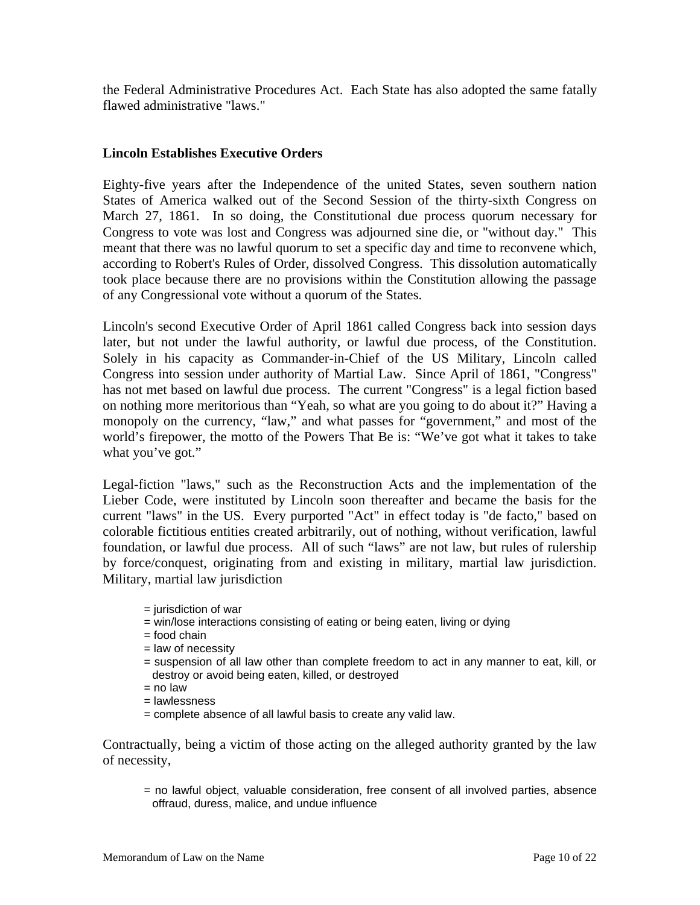the Federal Administrative Procedures Act. Each State has also adopted the same fatally flawed administrative "laws."

### **Lincoln Establishes Executive Orders**

Eighty-five years after the Independence of the united States, seven southern nation States of America walked out of the Second Session of the thirty-sixth Congress on March 27, 1861. In so doing, the Constitutional due process quorum necessary for Congress to vote was lost and Congress was adjourned sine die, or "without day." This meant that there was no lawful quorum to set a specific day and time to reconvene which, according to Robert's Rules of Order, dissolved Congress. This dissolution automatically took place because there are no provisions within the Constitution allowing the passage of any Congressional vote without a quorum of the States.

Lincoln's second Executive Order of April 1861 called Congress back into session days later, but not under the lawful authority, or lawful due process, of the Constitution. Solely in his capacity as Commander-in-Chief of the US Military, Lincoln called Congress into session under authority of Martial Law. Since April of 1861, "Congress" has not met based on lawful due process. The current "Congress" is a legal fiction based on nothing more meritorious than "Yeah, so what are you going to do about it?" Having a monopoly on the currency, "law," and what passes for "government," and most of the world's firepower, the motto of the Powers That Be is: "We've got what it takes to take what you've got."

Legal-fiction "laws," such as the Reconstruction Acts and the implementation of the Lieber Code, were instituted by Lincoln soon thereafter and became the basis for the current "laws" in the US. Every purported "Act" in effect today is "de facto," based on colorable fictitious entities created arbitrarily, out of nothing, without verification, lawful foundation, or lawful due process. All of such "laws" are not law, but rules of rulership by force/conquest, originating from and existing in military, martial law jurisdiction. Military, martial law jurisdiction

- $=$  jurisdiction of war
- = win/lose interactions consisting of eating or being eaten, living or dying
- = food chain
- $=$  law of necessity
- = suspension of all law other than complete freedom to act in any manner to eat, kill, or destroy or avoid being eaten, killed, or destroyed
- $=$  no law
- = lawlessness
- = complete absence of all lawful basis to create any valid law.

Contractually, being a victim of those acting on the alleged authority granted by the law of necessity,

= no lawful object, valuable consideration, free consent of all involved parties, absence offraud, duress, malice, and undue influence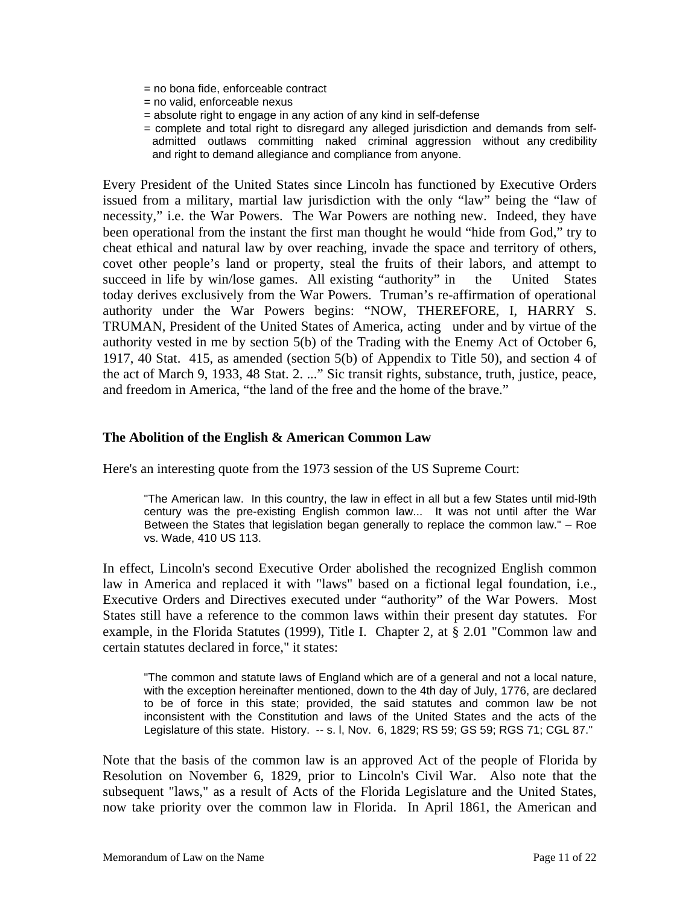- = no bona fide, enforceable contract
- = no valid, enforceable nexus
- = absolute right to engage in any action of any kind in self-defense
- = complete and total right to disregard any alleged jurisdiction and demands from selfadmitted outlaws committing naked criminal aggression without any credibility and right to demand allegiance and compliance from anyone.

Every President of the United States since Lincoln has functioned by Executive Orders issued from a military, martial law jurisdiction with the only "law" being the "law of necessity," i.e. the War Powers. The War Powers are nothing new. Indeed, they have been operational from the instant the first man thought he would "hide from God," try to cheat ethical and natural law by over reaching, invade the space and territory of others, covet other people's land or property, steal the fruits of their labors, and attempt to succeed in life by win/lose games. All existing "authority" in the United States today derives exclusively from the War Powers. Truman's re-affirmation of operational authority under the War Powers begins: "NOW, THEREFORE, I, HARRY S. TRUMAN, President of the United States of America, acting under and by virtue of the authority vested in me by section 5(b) of the Trading with the Enemy Act of October 6, 1917, 40 Stat. 415, as amended (section 5(b) of Appendix to Title 50), and section 4 of the act of March 9, 1933, 48 Stat. 2. ..." Sic transit rights, substance, truth, justice, peace, and freedom in America, "the land of the free and the home of the brave."

### **The Abolition of the English & American Common Law**

Here's an interesting quote from the 1973 session of the US Supreme Court:

"The American law. In this country, the law in effect in all but a few States until mid-l9th century was the pre-existing English common law... It was not until after the War Between the States that legislation began generally to replace the common law." – Roe vs. Wade, 410 US 113.

In effect, Lincoln's second Executive Order abolished the recognized English common law in America and replaced it with "laws" based on a fictional legal foundation, i.e., Executive Orders and Directives executed under "authority" of the War Powers. Most States still have a reference to the common laws within their present day statutes. For example, in the Florida Statutes (1999), Title I. Chapter 2, at § 2.01 "Common law and certain statutes declared in force," it states:

"The common and statute laws of England which are of a general and not a local nature, with the exception hereinafter mentioned, down to the 4th day of July, 1776, are declared to be of force in this state; provided, the said statutes and common law be not inconsistent with the Constitution and laws of the United States and the acts of the Legislature of this state. History. -- s. l, Nov. 6, 1829; RS 59; GS 59; RGS 71; CGL 87."

Note that the basis of the common law is an approved Act of the people of Florida by Resolution on November 6, 1829, prior to Lincoln's Civil War. Also note that the subsequent "laws," as a result of Acts of the Florida Legislature and the United States, now take priority over the common law in Florida. In April 1861, the American and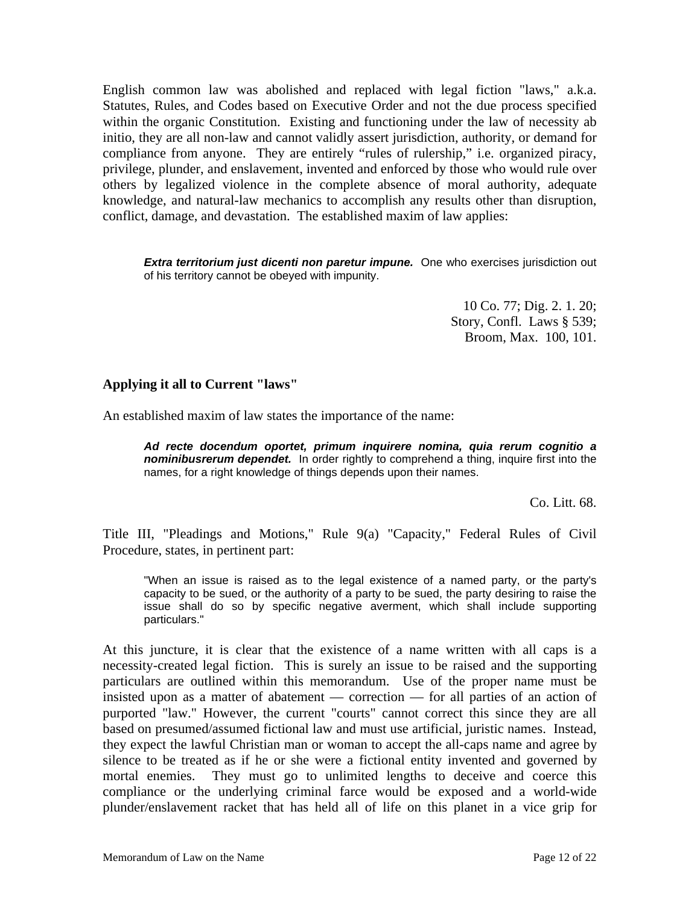English common law was abolished and replaced with legal fiction "laws," a.k.a. Statutes, Rules, and Codes based on Executive Order and not the due process specified within the organic Constitution. Existing and functioning under the law of necessity ab initio, they are all non-law and cannot validly assert jurisdiction, authority, or demand for compliance from anyone. They are entirely "rules of rulership," i.e. organized piracy, privilege, plunder, and enslavement, invented and enforced by those who would rule over others by legalized violence in the complete absence of moral authority, adequate knowledge, and natural-law mechanics to accomplish any results other than disruption, conflict, damage, and devastation. The established maxim of law applies:

**Extra territorium just dicenti non paretur impune.** One who exercises jurisdiction out of his territory cannot be obeyed with impunity.

> 10 Co. 77; Dig. 2. 1. 20; Story, Confl. Laws § 539; Broom, Max. 100, 101.

### **Applying it all to Current "laws"**

An established maxim of law states the importance of the name:

*Ad recte docendum oportet, primum inquirere nomina, quia rerum cognitio a nominibusrerum dependet.* In order rightly to comprehend a thing, inquire first into the names, for a right knowledge of things depends upon their names.

Co. Litt. 68.

Title III, "Pleadings and Motions," Rule 9(a) "Capacity," Federal Rules of Civil Procedure, states, in pertinent part:

"When an issue is raised as to the legal existence of a named party, or the party's capacity to be sued, or the authority of a party to be sued, the party desiring to raise the issue shall do so by specific negative averment, which shall include supporting particulars."

At this juncture, it is clear that the existence of a name written with all caps is a necessity-created legal fiction. This is surely an issue to be raised and the supporting particulars are outlined within this memorandum. Use of the proper name must be insisted upon as a matter of abatement — correction — for all parties of an action of purported "law." However, the current "courts" cannot correct this since they are all based on presumed/assumed fictional law and must use artificial, juristic names. Instead, they expect the lawful Christian man or woman to accept the all-caps name and agree by silence to be treated as if he or she were a fictional entity invented and governed by mortal enemies. They must go to unlimited lengths to deceive and coerce this compliance or the underlying criminal farce would be exposed and a world-wide plunder/enslavement racket that has held all of life on this planet in a vice grip for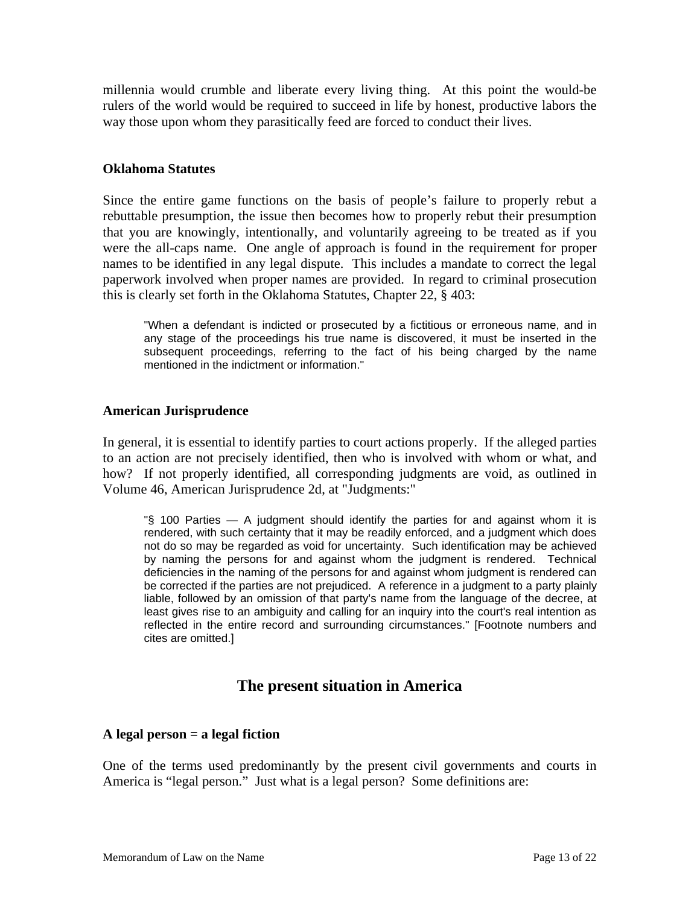millennia would crumble and liberate every living thing. At this point the would-be rulers of the world would be required to succeed in life by honest, productive labors the way those upon whom they parasitically feed are forced to conduct their lives.

### **Oklahoma Statutes**

Since the entire game functions on the basis of people's failure to properly rebut a rebuttable presumption, the issue then becomes how to properly rebut their presumption that you are knowingly, intentionally, and voluntarily agreeing to be treated as if you were the all-caps name. One angle of approach is found in the requirement for proper names to be identified in any legal dispute. This includes a mandate to correct the legal paperwork involved when proper names are provided. In regard to criminal prosecution this is clearly set forth in the Oklahoma Statutes, Chapter 22, § 403:

"When a defendant is indicted or prosecuted by a fictitious or erroneous name, and in any stage of the proceedings his true name is discovered, it must be inserted in the subsequent proceedings, referring to the fact of his being charged by the name mentioned in the indictment or information."

### **American Jurisprudence**

In general, it is essential to identify parties to court actions properly. If the alleged parties to an action are not precisely identified, then who is involved with whom or what, and how? If not properly identified, all corresponding judgments are void, as outlined in Volume 46, American Jurisprudence 2d, at "Judgments:"

"§ 100 Parties — A judgment should identify the parties for and against whom it is rendered, with such certainty that it may be readily enforced, and a judgment which does not do so may be regarded as void for uncertainty. Such identification may be achieved by naming the persons for and against whom the judgment is rendered. Technical deficiencies in the naming of the persons for and against whom judgment is rendered can be corrected if the parties are not prejudiced. A reference in a judgment to a party plainly liable, followed by an omission of that party's name from the language of the decree, at least gives rise to an ambiguity and calling for an inquiry into the court's real intention as reflected in the entire record and surrounding circumstances." [Footnote numbers and cites are omitted.]

## **The present situation in America**

### **A legal person = a legal fiction**

One of the terms used predominantly by the present civil governments and courts in America is "legal person." Just what is a legal person? Some definitions are: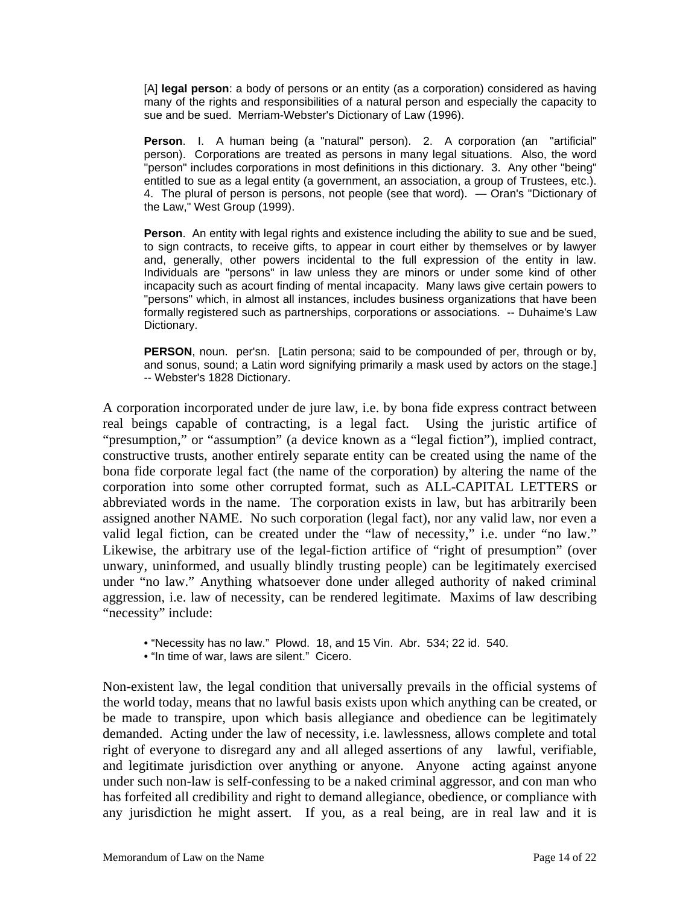[A] **legal person**: a body of persons or an entity (as a corporation) considered as having many of the rights and responsibilities of a natural person and especially the capacity to sue and be sued. Merriam-Webster's Dictionary of Law (1996).

**Person**. I. A human being (a "natural" person). 2. A corporation (an "artificial" person). Corporations are treated as persons in many legal situations. Also, the word "person" includes corporations in most definitions in this dictionary. 3. Any other "being" entitled to sue as a legal entity (a government, an association, a group of Trustees, etc.). 4. The plural of person is persons, not people (see that word). — Oran's "Dictionary of the Law," West Group (1999).

**Person**. An entity with legal rights and existence including the ability to sue and be sued, to sign contracts, to receive gifts, to appear in court either by themselves or by lawyer and, generally, other powers incidental to the full expression of the entity in law. Individuals are "persons" in law unless they are minors or under some kind of other incapacity such as acourt finding of mental incapacity. Many laws give certain powers to "persons" which, in almost all instances, includes business organizations that have been formally registered such as partnerships, corporations or associations. -- Duhaime's Law Dictionary.

**PERSON**, noun. per'sn. [Latin persona; said to be compounded of per, through or by, and sonus, sound; a Latin word signifying primarily a mask used by actors on the stage.] -- Webster's 1828 Dictionary.

A corporation incorporated under de jure law, i.e. by bona fide express contract between real beings capable of contracting, is a legal fact. Using the juristic artifice of "presumption," or "assumption" (a device known as a "legal fiction"), implied contract, constructive trusts, another entirely separate entity can be created using the name of the bona fide corporate legal fact (the name of the corporation) by altering the name of the corporation into some other corrupted format, such as ALL-CAPITAL LETTERS or abbreviated words in the name. The corporation exists in law, but has arbitrarily been assigned another NAME. No such corporation (legal fact), nor any valid law, nor even a valid legal fiction, can be created under the "law of necessity," i.e. under "no law." Likewise, the arbitrary use of the legal-fiction artifice of "right of presumption" (over unwary, uninformed, and usually blindly trusting people) can be legitimately exercised under "no law." Anything whatsoever done under alleged authority of naked criminal aggression, i.e. law of necessity, can be rendered legitimate. Maxims of law describing "necessity" include:

- "Necessity has no law." Plowd. 18, and 15 Vin. Abr. 534; 22 id. 540.
- "In time of war, laws are silent." Cicero.

Non-existent law, the legal condition that universally prevails in the official systems of the world today, means that no lawful basis exists upon which anything can be created, or be made to transpire, upon which basis allegiance and obedience can be legitimately demanded. Acting under the law of necessity, i.e. lawlessness, allows complete and total right of everyone to disregard any and all alleged assertions of any lawful, verifiable, and legitimate jurisdiction over anything or anyone. Anyone acting against anyone under such non-law is self-confessing to be a naked criminal aggressor, and con man who has forfeited all credibility and right to demand allegiance, obedience, or compliance with any jurisdiction he might assert. If you, as a real being, are in real law and it is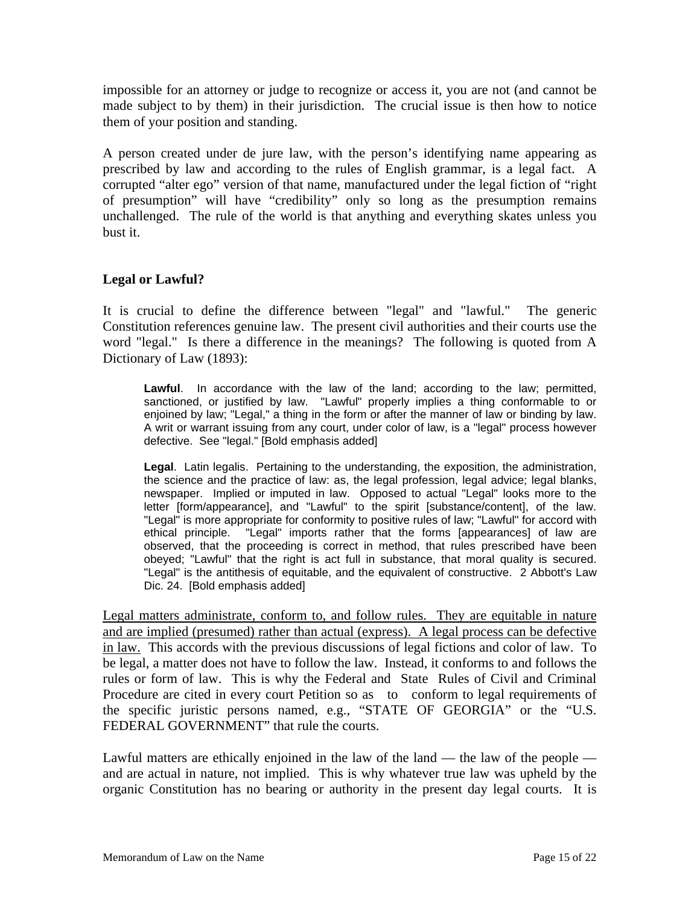impossible for an attorney or judge to recognize or access it, you are not (and cannot be made subject to by them) in their jurisdiction. The crucial issue is then how to notice them of your position and standing.

A person created under de jure law, with the person's identifying name appearing as prescribed by law and according to the rules of English grammar, is a legal fact. A corrupted "alter ego" version of that name, manufactured under the legal fiction of "right of presumption" will have "credibility" only so long as the presumption remains unchallenged. The rule of the world is that anything and everything skates unless you bust it.

### **Legal or Lawful?**

It is crucial to define the difference between "legal" and "lawful." The generic Constitution references genuine law. The present civil authorities and their courts use the word "legal." Is there a difference in the meanings? The following is quoted from A Dictionary of Law (1893):

**Lawful**. In accordance with the law of the land; according to the law; permitted, sanctioned, or justified by law. "Lawful" properly implies a thing conformable to or enjoined by law; "Legal," a thing in the form or after the manner of law or binding by law. A writ or warrant issuing from any court, under color of law, is a "legal" process however defective. See "legal." [Bold emphasis added]

**Legal**. Latin legalis. Pertaining to the understanding, the exposition, the administration, the science and the practice of law: as, the legal profession, legal advice; legal blanks, newspaper. Implied or imputed in law. Opposed to actual "Legal" looks more to the letter [form/appearance], and "Lawful" to the spirit [substance/content], of the law. "Legal" is more appropriate for conformity to positive rules of law; "Lawful" for accord with ethical principle. "Legal" imports rather that the forms [appearances] of law are observed, that the proceeding is correct in method, that rules prescribed have been obeyed; "Lawful" that the right is act full in substance, that moral quality is secured. "Legal" is the antithesis of equitable, and the equivalent of constructive. 2 Abbott's Law Dic. 24. [Bold emphasis added]

Legal matters administrate, conform to, and follow rules. They are equitable in nature and are implied (presumed) rather than actual (express). A legal process can be defective in law. This accords with the previous discussions of legal fictions and color of law. To be legal, a matter does not have to follow the law. Instead, it conforms to and follows the rules or form of law. This is why the Federal and State Rules of Civil and Criminal Procedure are cited in every court Petition so as to conform to legal requirements of the specific juristic persons named, e.g., "STATE OF GEORGIA" or the "U.S. FEDERAL GOVERNMENT" that rule the courts.

Lawful matters are ethically enjoined in the law of the land — the law of the people and are actual in nature, not implied. This is why whatever true law was upheld by the organic Constitution has no bearing or authority in the present day legal courts. It is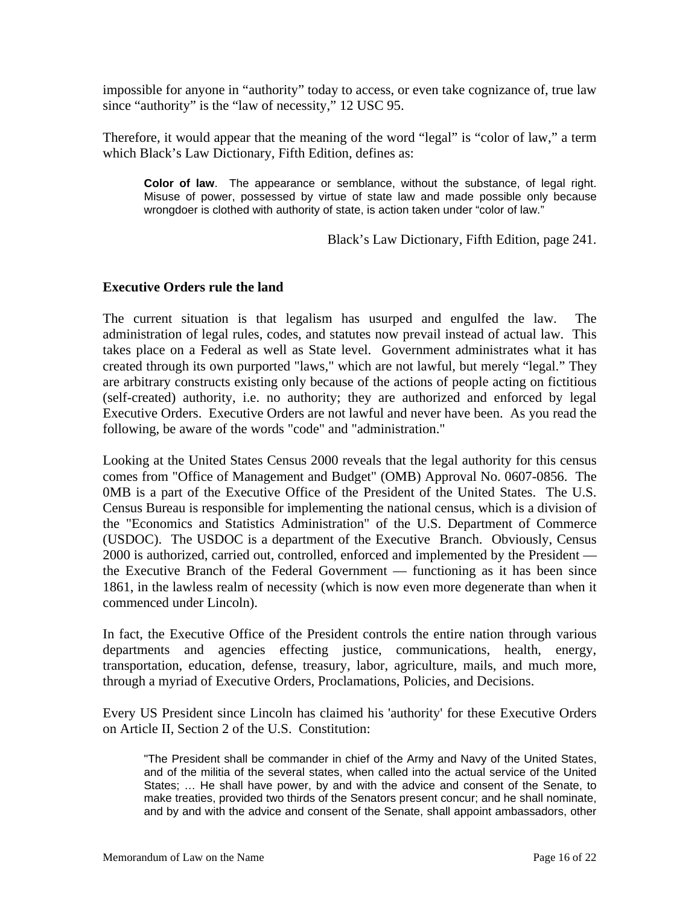impossible for anyone in "authority" today to access, or even take cognizance of, true law since "authority" is the "law of necessity," 12 USC 95.

Therefore, it would appear that the meaning of the word "legal" is "color of law," a term which Black's Law Dictionary, Fifth Edition, defines as:

**Color of law**. The appearance or semblance, without the substance, of legal right. Misuse of power, possessed by virtue of state law and made possible only because wrongdoer is clothed with authority of state, is action taken under "color of law."

Black's Law Dictionary, Fifth Edition, page 241.

#### **Executive Orders rule the land**

The current situation is that legalism has usurped and engulfed the law. The administration of legal rules, codes, and statutes now prevail instead of actual law. This takes place on a Federal as well as State level. Government administrates what it has created through its own purported "laws," which are not lawful, but merely "legal." They are arbitrary constructs existing only because of the actions of people acting on fictitious (self-created) authority, i.e. no authority; they are authorized and enforced by legal Executive Orders. Executive Orders are not lawful and never have been. As you read the following, be aware of the words "code" and "administration."

Looking at the United States Census 2000 reveals that the legal authority for this census comes from "Office of Management and Budget" (OMB) Approval No. 0607-0856. The 0MB is a part of the Executive Office of the President of the United States. The U.S. Census Bureau is responsible for implementing the national census, which is a division of the "Economics and Statistics Administration" of the U.S. Department of Commerce (USDOC). The USDOC is a department of the Executive Branch. Obviously, Census 2000 is authorized, carried out, controlled, enforced and implemented by the President the Executive Branch of the Federal Government — functioning as it has been since 1861, in the lawless realm of necessity (which is now even more degenerate than when it commenced under Lincoln).

In fact, the Executive Office of the President controls the entire nation through various departments and agencies effecting justice, communications, health, energy, transportation, education, defense, treasury, labor, agriculture, mails, and much more, through a myriad of Executive Orders, Proclamations, Policies, and Decisions.

Every US President since Lincoln has claimed his 'authority' for these Executive Orders on Article II, Section 2 of the U.S. Constitution:

"The President shall be commander in chief of the Army and Navy of the United States, and of the militia of the several states, when called into the actual service of the United States; … He shall have power, by and with the advice and consent of the Senate, to make treaties, provided two thirds of the Senators present concur; and he shall nominate, and by and with the advice and consent of the Senate, shall appoint ambassadors, other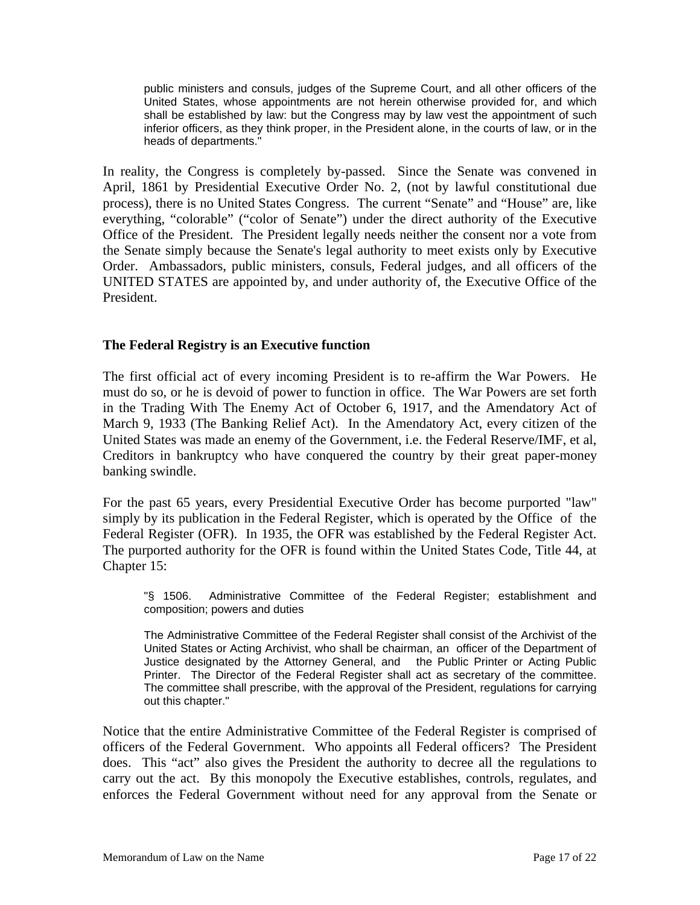public ministers and consuls, judges of the Supreme Court, and all other officers of the United States, whose appointments are not herein otherwise provided for, and which shall be established by law: but the Congress may by law vest the appointment of such inferior officers, as they think proper, in the President alone, in the courts of law, or in the heads of departments."

In reality, the Congress is completely by-passed. Since the Senate was convened in April, 1861 by Presidential Executive Order No. 2, (not by lawful constitutional due process), there is no United States Congress. The current "Senate" and "House" are, like everything, "colorable" ("color of Senate") under the direct authority of the Executive Office of the President. The President legally needs neither the consent nor a vote from the Senate simply because the Senate's legal authority to meet exists only by Executive Order. Ambassadors, public ministers, consuls, Federal judges, and all officers of the UNITED STATES are appointed by, and under authority of, the Executive Office of the President.

### **The Federal Registry is an Executive function**

The first official act of every incoming President is to re-affirm the War Powers. He must do so, or he is devoid of power to function in office. The War Powers are set forth in the Trading With The Enemy Act of October 6, 1917, and the Amendatory Act of March 9, 1933 (The Banking Relief Act). In the Amendatory Act, every citizen of the United States was made an enemy of the Government, i.e. the Federal Reserve/IMF, et al, Creditors in bankruptcy who have conquered the country by their great paper-money banking swindle.

For the past 65 years, every Presidential Executive Order has become purported "law" simply by its publication in the Federal Register, which is operated by the Office of the Federal Register (OFR). In 1935, the OFR was established by the Federal Register Act. The purported authority for the OFR is found within the United States Code, Title 44, at Chapter 15:

"§ 1506. Administrative Committee of the Federal Register; establishment and composition; powers and duties

The Administrative Committee of the Federal Register shall consist of the Archivist of the United States or Acting Archivist, who shall be chairman, an officer of the Department of Justice designated by the Attorney General, and the Public Printer or Acting Public Printer. The Director of the Federal Register shall act as secretary of the committee. The committee shall prescribe, with the approval of the President, regulations for carrying out this chapter."

Notice that the entire Administrative Committee of the Federal Register is comprised of officers of the Federal Government. Who appoints all Federal officers? The President does. This "act" also gives the President the authority to decree all the regulations to carry out the act. By this monopoly the Executive establishes, controls, regulates, and enforces the Federal Government without need for any approval from the Senate or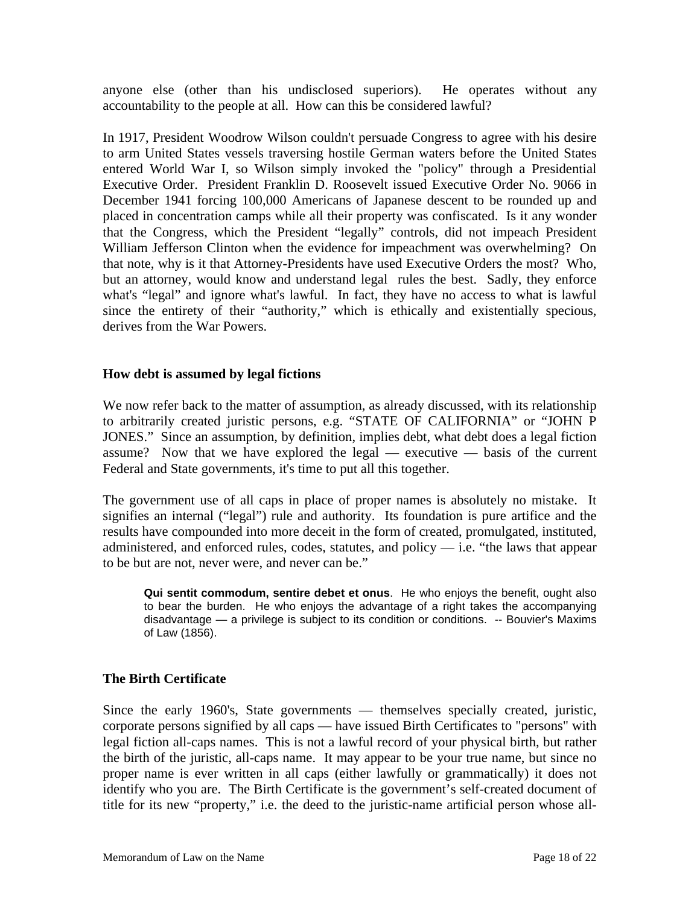anyone else (other than his undisclosed superiors). He operates without any accountability to the people at all. How can this be considered lawful?

In 1917, President Woodrow Wilson couldn't persuade Congress to agree with his desire to arm United States vessels traversing hostile German waters before the United States entered World War I, so Wilson simply invoked the "policy" through a Presidential Executive Order. President Franklin D. Roosevelt issued Executive Order No. 9066 in December 1941 forcing 100,000 Americans of Japanese descent to be rounded up and placed in concentration camps while all their property was confiscated. Is it any wonder that the Congress, which the President "legally" controls, did not impeach President William Jefferson Clinton when the evidence for impeachment was overwhelming? On that note, why is it that Attorney-Presidents have used Executive Orders the most? Who, but an attorney, would know and understand legal rules the best. Sadly, they enforce what's "legal" and ignore what's lawful. In fact, they have no access to what is lawful since the entirety of their "authority," which is ethically and existentially specious, derives from the War Powers.

### **How debt is assumed by legal fictions**

We now refer back to the matter of assumption, as already discussed, with its relationship to arbitrarily created juristic persons, e.g. "STATE OF CALIFORNIA" or "JOHN P JONES." Since an assumption, by definition, implies debt, what debt does a legal fiction assume? Now that we have explored the legal — executive — basis of the current Federal and State governments, it's time to put all this together.

The government use of all caps in place of proper names is absolutely no mistake. It signifies an internal ("legal") rule and authority. Its foundation is pure artifice and the results have compounded into more deceit in the form of created, promulgated, instituted, administered, and enforced rules, codes, statutes, and policy — i.e. "the laws that appear to be but are not, never were, and never can be."

**Qui sentit commodum, sentire debet et onus**. He who enjoys the benefit, ought also to bear the burden. He who enjoys the advantage of a right takes the accompanying disadvantage — a privilege is subject to its condition or conditions. -- Bouvier's Maxims of Law (1856).

### **The Birth Certificate**

Since the early 1960's, State governments — themselves specially created, juristic, corporate persons signified by all caps — have issued Birth Certificates to "persons" with legal fiction all-caps names. This is not a lawful record of your physical birth, but rather the birth of the juristic, all-caps name. It may appear to be your true name, but since no proper name is ever written in all caps (either lawfully or grammatically) it does not identify who you are. The Birth Certificate is the government's self-created document of title for its new "property," i.e. the deed to the juristic-name artificial person whose all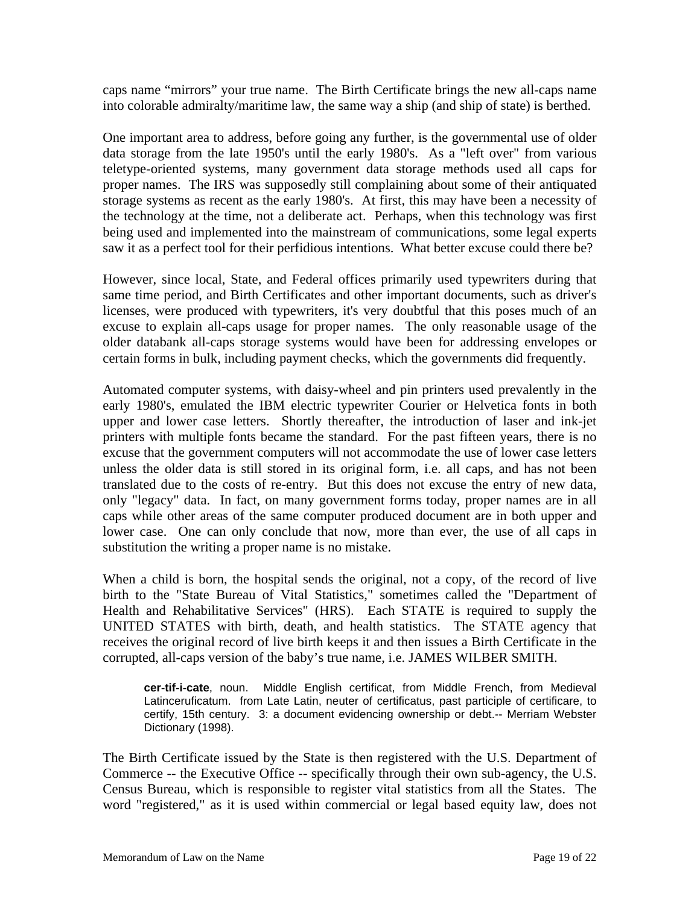caps name "mirrors" your true name. The Birth Certificate brings the new all-caps name into colorable admiralty/maritime law, the same way a ship (and ship of state) is berthed.

One important area to address, before going any further, is the governmental use of older data storage from the late 1950's until the early 1980's. As a "left over" from various teletype-oriented systems, many government data storage methods used all caps for proper names. The IRS was supposedly still complaining about some of their antiquated storage systems as recent as the early 1980's. At first, this may have been a necessity of the technology at the time, not a deliberate act. Perhaps, when this technology was first being used and implemented into the mainstream of communications, some legal experts saw it as a perfect tool for their perfidious intentions. What better excuse could there be?

However, since local, State, and Federal offices primarily used typewriters during that same time period, and Birth Certificates and other important documents, such as driver's licenses, were produced with typewriters, it's very doubtful that this poses much of an excuse to explain all-caps usage for proper names. The only reasonable usage of the older databank all-caps storage systems would have been for addressing envelopes or certain forms in bulk, including payment checks, which the governments did frequently.

Automated computer systems, with daisy-wheel and pin printers used prevalently in the early 1980's, emulated the IBM electric typewriter Courier or Helvetica fonts in both upper and lower case letters. Shortly thereafter, the introduction of laser and ink-jet printers with multiple fonts became the standard. For the past fifteen years, there is no excuse that the government computers will not accommodate the use of lower case letters unless the older data is still stored in its original form, i.e. all caps, and has not been translated due to the costs of re-entry. But this does not excuse the entry of new data, only "legacy" data. In fact, on many government forms today, proper names are in all caps while other areas of the same computer produced document are in both upper and lower case. One can only conclude that now, more than ever, the use of all caps in substitution the writing a proper name is no mistake.

When a child is born, the hospital sends the original, not a copy, of the record of live birth to the "State Bureau of Vital Statistics," sometimes called the "Department of Health and Rehabilitative Services" (HRS). Each STATE is required to supply the UNITED STATES with birth, death, and health statistics. The STATE agency that receives the original record of live birth keeps it and then issues a Birth Certificate in the corrupted, all-caps version of the baby's true name, i.e. JAMES WILBER SMITH.

**cer-tif-i-cate**, noun. Middle English certificat, from Middle French, from Medieval Latinceruficatum. from Late Latin, neuter of certificatus, past participle of certificare, to certify, 15th century. 3: a document evidencing ownership or debt.-- Merriam Webster Dictionary (1998).

The Birth Certificate issued by the State is then registered with the U.S. Department of Commerce -- the Executive Office -- specifically through their own sub-agency, the U.S. Census Bureau, which is responsible to register vital statistics from all the States. The word "registered," as it is used within commercial or legal based equity law, does not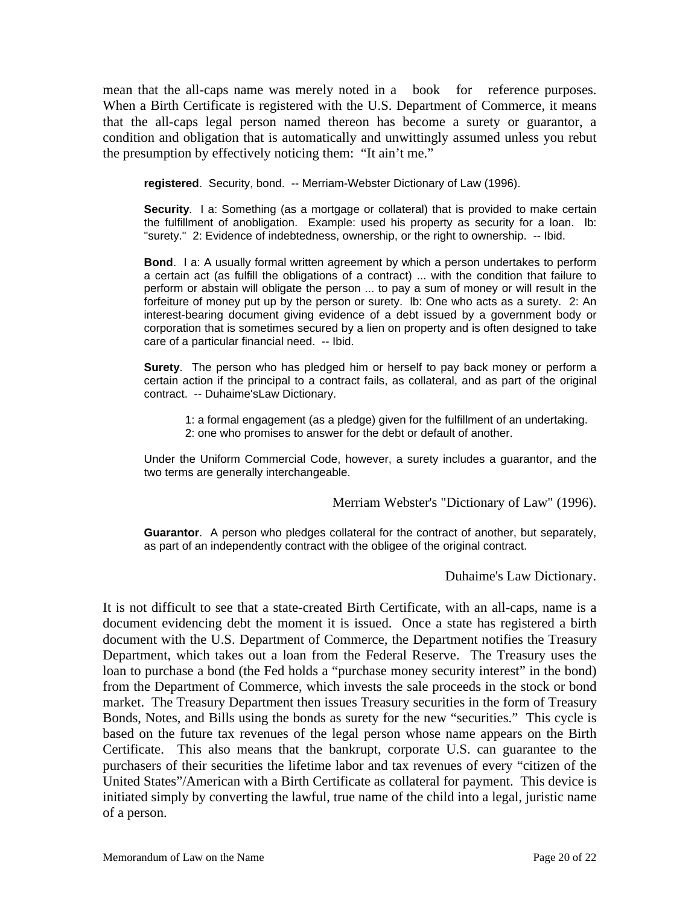mean that the all-caps name was merely noted in a book for reference purposes. When a Birth Certificate is registered with the U.S. Department of Commerce, it means that the all-caps legal person named thereon has become a surety or guarantor, a condition and obligation that is automatically and unwittingly assumed unless you rebut the presumption by effectively noticing them: "It ain't me."

**registered**. Security, bond. -- Merriam-Webster Dictionary of Law (1996).

**Security.** I a: Something (as a mortgage or collateral) that is provided to make certain the fulfillment of anobligation. Example: used his property as security for a loan. lb: "surety." 2: Evidence of indebtedness, ownership, or the right to ownership. -- Ibid.

**Bond**. I a: A usually formal written agreement by which a person undertakes to perform a certain act (as fulfill the obligations of a contract) ... with the condition that failure to perform or abstain will obligate the person ... to pay a sum of money or will result in the forfeiture of money put up by the person or surety. lb: One who acts as a surety. 2: An interest-bearing document giving evidence of a debt issued by a government body or corporation that is sometimes secured by a lien on property and is often designed to take care of a particular financial need. -- Ibid.

**Surety**. The person who has pledged him or herself to pay back money or perform a certain action if the principal to a contract fails, as collateral, and as part of the original contract. -- Duhaime'sLaw Dictionary.

1: a formal engagement (as a pledge) given for the fulfillment of an undertaking. 2: one who promises to answer for the debt or default of another.

Under the Uniform Commercial Code, however, a surety includes a guarantor, and the two terms are generally interchangeable.

Merriam Webster's "Dictionary of Law" (1996).

**Guarantor**. A person who pledges collateral for the contract of another, but separately, as part of an independently contract with the obligee of the original contract.

Duhaime's Law Dictionary.

It is not difficult to see that a state-created Birth Certificate, with an all-caps, name is a document evidencing debt the moment it is issued. Once a state has registered a birth document with the U.S. Department of Commerce, the Department notifies the Treasury Department, which takes out a loan from the Federal Reserve. The Treasury uses the loan to purchase a bond (the Fed holds a "purchase money security interest" in the bond) from the Department of Commerce, which invests the sale proceeds in the stock or bond market. The Treasury Department then issues Treasury securities in the form of Treasury Bonds, Notes, and Bills using the bonds as surety for the new "securities." This cycle is based on the future tax revenues of the legal person whose name appears on the Birth Certificate. This also means that the bankrupt, corporate U.S. can guarantee to the purchasers of their securities the lifetime labor and tax revenues of every "citizen of the United States"/American with a Birth Certificate as collateral for payment. This device is initiated simply by converting the lawful, true name of the child into a legal, juristic name of a person.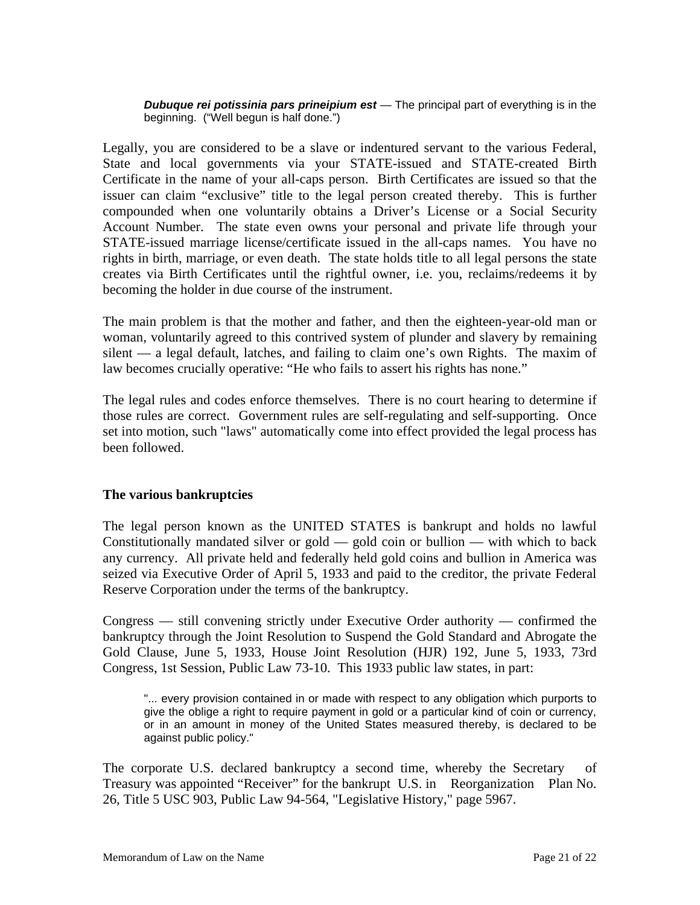*Dubuque rei potissinia pars prineipium est* — The principal part of everything is in the beginning. ("Well begun is half done.")

Legally, you are considered to be a slave or indentured servant to the various Federal, State and local governments via your STATE-issued and STATE-created Birth Certificate in the name of your all-caps person. Birth Certificates are issued so that the issuer can claim "exclusive" title to the legal person created thereby. This is further compounded when one voluntarily obtains a Driver's License or a Social Security Account Number. The state even owns your personal and private life through your STATE-issued marriage license/certificate issued in the all-caps names. You have no rights in birth, marriage, or even death. The state holds title to all legal persons the state creates via Birth Certificates until the rightful owner, i.e. you, reclaims/redeems it by becoming the holder in due course of the instrument.

The main problem is that the mother and father, and then the eighteen-year-old man or woman, voluntarily agreed to this contrived system of plunder and slavery by remaining silent — a legal default, latches, and failing to claim one's own Rights. The maxim of law becomes crucially operative: "He who fails to assert his rights has none."

The legal rules and codes enforce themselves. There is no court hearing to determine if those rules are correct. Government rules are self-regulating and self-supporting. Once set into motion, such "laws" automatically come into effect provided the legal process has been followed.

### **The various bankruptcies**

The legal person known as the UNITED STATES is bankrupt and holds no lawful Constitutionally mandated silver or gold  $-$  gold coin or bullion  $-$  with which to back any currency. All private held and federally held gold coins and bullion in America was seized via Executive Order of April 5, 1933 and paid to the creditor, the private Federal Reserve Corporation under the terms of the bankruptcy.

Congress — still convening strictly under Executive Order authority — confirmed the bankruptcy through the Joint Resolution to Suspend the Gold Standard and Abrogate the Gold Clause, June 5, 1933, House Joint Resolution (HJR) 192, June 5, 1933, 73rd Congress, 1st Session, Public Law 73-10. This 1933 public law states, in part:

"... every provision contained in or made with respect to any obligation which purports to give the oblige a right to require payment in gold or a particular kind of coin or currency, or in an amount in money of the United States measured thereby, is declared to be against public policy."

The corporate U.S. declared bankruptcy a second time, whereby the Secretary of Treasury was appointed "Receiver" for the bankrupt U.S. in Reorganization Plan No. 26, Title 5 USC 903, Public Law 94-564, "Legislative History," page 5967.